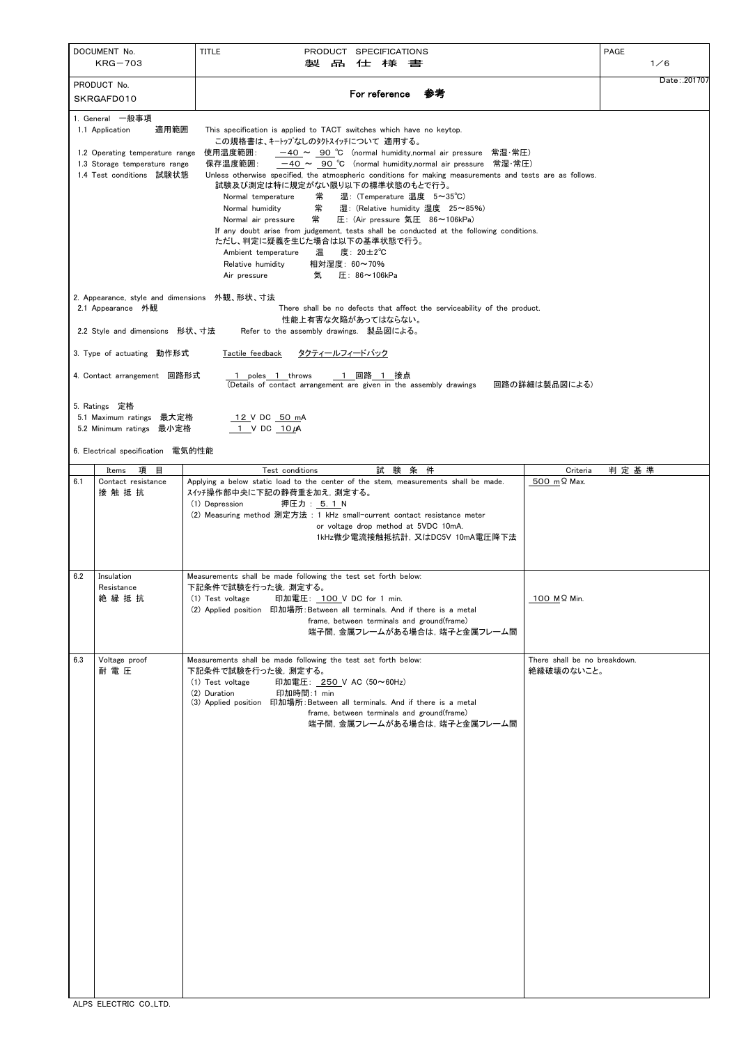|                                                                                                                                    | DOCUMENT No.<br>$KRG-703$                                                                                                                                                                                                                                                                                                                                                             | <b>TITLE</b><br>PRODUCT SPECIFICATIONS<br>製<br>品<br>仕様書                                                                                                                                                                                                                                                                           |                                            | <b>PAGE</b><br>1/6 |  |  |  |
|------------------------------------------------------------------------------------------------------------------------------------|---------------------------------------------------------------------------------------------------------------------------------------------------------------------------------------------------------------------------------------------------------------------------------------------------------------------------------------------------------------------------------------|-----------------------------------------------------------------------------------------------------------------------------------------------------------------------------------------------------------------------------------------------------------------------------------------------------------------------------------|--------------------------------------------|--------------------|--|--|--|
|                                                                                                                                    | PRODUCT No.<br>SKRGAFD010                                                                                                                                                                                                                                                                                                                                                             | 参考<br>For reference                                                                                                                                                                                                                                                                                                               |                                            | Date: .201707      |  |  |  |
| 1. General 一般事項<br>1.1 Application<br>1.2 Operating temperature range<br>1.3 Storage temperature range<br>1.4 Test conditions 試験状態 |                                                                                                                                                                                                                                                                                                                                                                                       |                                                                                                                                                                                                                                                                                                                                   |                                            |                    |  |  |  |
|                                                                                                                                    | 2. Appearance, style and dimensions 外観、形状、寸法<br>2.1 Appearance 外観<br>2.2 Style and dimensions 形状、寸法                                                                                                                                                                                                                                                                                   | There shall be no defects that affect the serviceability of the product.<br>性能上有害な欠陥があってはならない。<br>Refer to the assembly drawings. 製品図による。                                                                                                                                                                                         |                                            |                    |  |  |  |
|                                                                                                                                    | <u>タクティールフィードバック</u><br>3. Type of actuating 動作形式<br>Tactile feedback<br>1 回路 1 接点<br>4. Contact arrangement 回路形式<br>1 poles 1 throws<br>(Details of contact arrangement are given in the assembly drawings<br>回路の詳細は製品図による)<br>5. Ratings 定格<br>5.1 Maximum ratings<br>最大定格<br>12 V DC 50 mA<br>5.2 Minimum ratings 最小定格<br>$1$ V DC $10 \mu$ A<br>6. Electrical specification 電気的性能 |                                                                                                                                                                                                                                                                                                                                   |                                            |                    |  |  |  |
|                                                                                                                                    | 項目                                                                                                                                                                                                                                                                                                                                                                                    | 試験条件<br>Test conditions                                                                                                                                                                                                                                                                                                           | Criteria                                   | 判定基準               |  |  |  |
| 6.1                                                                                                                                | Items<br>Contact resistance<br>接 触 抵 抗                                                                                                                                                                                                                                                                                                                                                | Applying a below static load to the center of the stem, measurements shall be made.<br>スイッチ操作部中央に下記の静荷重を加え、測定する。<br>押圧力: 5.1 N<br>(1) Depression<br>(2) Measuring method 測定方法: 1 kHz small-current contact resistance meter<br>or voltage drop method at 5VDC 10mA.<br>1kHz微少電流接触抵抗計, 又はDC5V 10mA電圧降下法                            | 500 mΩ Max.                                |                    |  |  |  |
| 6.2                                                                                                                                | Insulation<br>Resistance<br>絶縁抵抗                                                                                                                                                                                                                                                                                                                                                      | Measurements shall be made following the test set forth below:<br>下記条件で試験を行った後、測定する。<br>印加電圧: 100 V DC for 1 min.<br>(1) Test voltage<br>(2) Applied position 印加場所: Between all terminals. And if there is a metal<br>frame, between terminals and ground(frame)<br>端子間,金属フレームがある場合は,端子と金属フレーム間                                   | 100 MΩ Min.                                |                    |  |  |  |
| 6.3                                                                                                                                | Voltage proof<br>耐電圧                                                                                                                                                                                                                                                                                                                                                                  | Measurements shall be made following the test set forth below:<br>下記条件で試験を行った後、測定する。<br>印加電圧: 250 V AC (50~60Hz)<br>(1) Test voltage<br>印加時間:1 min<br>(2) Duration<br>印加場所: Between all terminals. And if there is a metal<br>(3) Applied position<br>frame, between terminals and ground(frame)<br>端子間, 金属フレームがある場合は, 端子と金属フレーム間 | There shall be no breakdown.<br>絶縁破壊のないこと。 |                    |  |  |  |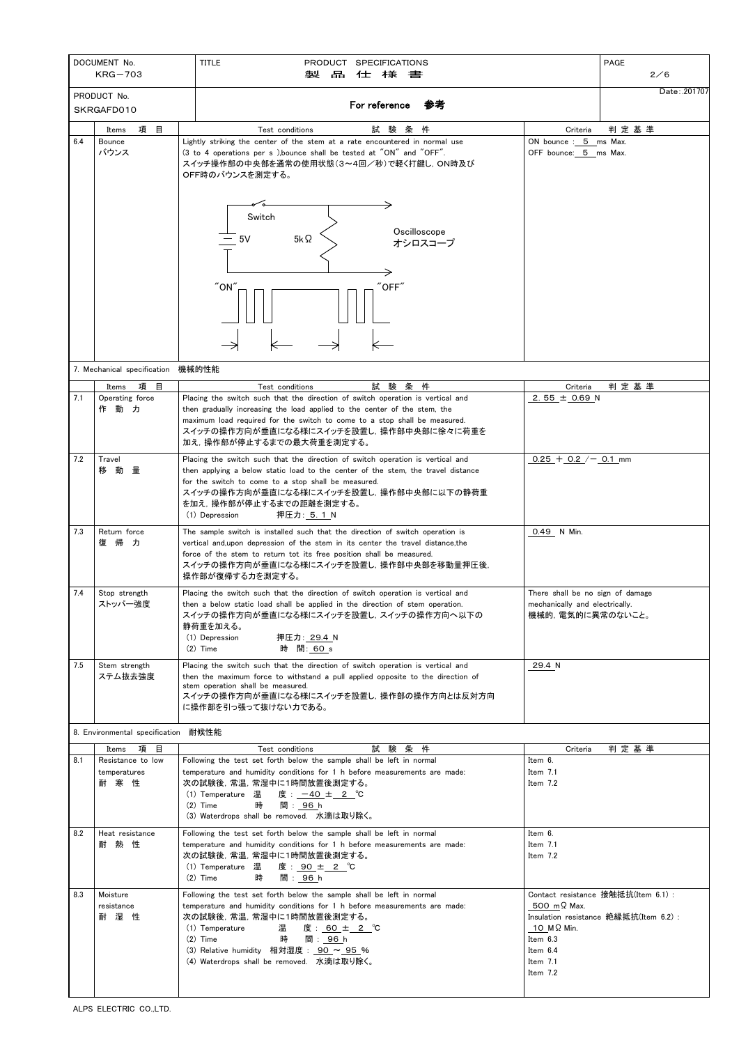| DOCUMENT No.<br>$KRG-703$ |                                                             | <b>TITLE</b><br><b>PRODUCT</b><br><b>SPECIFICATIONS</b><br>品<br>製<br>仕様書                                                                                                                                                                                                                                                                    |                                                                                          | PAGE<br>2/6                                                                 |  |
|---------------------------|-------------------------------------------------------------|---------------------------------------------------------------------------------------------------------------------------------------------------------------------------------------------------------------------------------------------------------------------------------------------------------------------------------------------|------------------------------------------------------------------------------------------|-----------------------------------------------------------------------------|--|
| PRODUCT No.<br>SKRGAFD010 |                                                             | 参考<br>For reference                                                                                                                                                                                                                                                                                                                         |                                                                                          | Date: .201707                                                               |  |
| 6.4                       | 項<br>目<br>Items<br><b>Bounce</b><br>バウンス                    | 条件<br>Test conditions<br>試 験<br>Lightly striking the center of the stem at a rate encountered in normal use<br>(3 to 4 operations per s), bounce shall be tested at "ON" and "OFF".<br>スイッチ操作部の中央部を通常の使用状態(3~4回/秒)で軽く打鍵し, ON時及び<br>OFF時のバウンスを測定する。<br>Switch<br>Oscilloscope<br>5V<br>$5k\Omega$<br>オシロスコープ<br>"ON"<br>$"$ OFF"             | Criteria<br>ON bounce: 5 ms Max.<br>OFF bounce: 5 ms Max.                                | 判定基準                                                                        |  |
|                           | 7. Mechanical specification                                 | 機械的性能                                                                                                                                                                                                                                                                                                                                       |                                                                                          |                                                                             |  |
| 7.1                       | 項<br>目<br>Items<br>Operating force                          | 試験条件<br>Test conditions<br>Placing the switch such that the direction of switch operation is vertical and                                                                                                                                                                                                                                   | Criteria<br>2.55 $\pm$ 0.69 N                                                            | 判定基準                                                                        |  |
|                           | 作動力                                                         | then gradually increasing the load applied to the center of the stem, the<br>maximum load required for the switch to come to a stop shall be measured.<br>スイッチの操作方向が垂直になる様にスイッチを設置し,操作部中央部に徐々に荷重を<br>加え,操作部が停止するまでの最大荷重を測定する。                                                                                                               |                                                                                          |                                                                             |  |
| 7.2                       | Travel<br>移<br>動<br>量                                       | Placing the switch such that the direction of switch operation is vertical and<br>then applying a below static load to the center of the stem, the travel distance<br>for the switch to come to a stop shall be measured.<br>スイッチの操作方向が垂直になる様にスイッチを設置し、操作部中央部に以下の静荷重<br>を加え,操作部が停止するまでの距離を測定する。<br>(1) Depression<br>押圧力: 5.1 N             | $0.25 + 0.2$ / $- 0.1$ mm                                                                |                                                                             |  |
| 7.3                       | Return force<br>復帰力                                         | The sample switch is installed such that the direction of switch operation is<br>vertical and, upon depression of the stem in its center the travel distance, the<br>force of the stem to return tot its free position shall be measured.<br>スイッチの操作方向が垂直になる様にスイッチを設置し,操作部中央部を移動量押圧後,<br>操作部が復帰する力を測定する。                                    | 0.49 N Min.                                                                              |                                                                             |  |
| 7.4                       | Stop strength<br>ストッパー強度                                    | Placing the switch such that the direction of switch operation is vertical and<br>then a below static load shall be applied in the direction of stem operation.<br>スイッチの操作方向が垂直になる様にスイッチを設置し,スイッチの操作方向へ以下の<br>静荷重を加える。<br>(1) Depression<br>押圧力∶ <u>29.4_</u> N<br>$(2)$ Time<br>時 間: 60_s                                                  | There shall be no sign of damage<br>mechanically and electrically.<br>機械的,電気的に異常のないこと。   |                                                                             |  |
| 7.5                       | Stem strength<br>ステム抜去強度                                    | Placing the switch such that the direction of switch operation is vertical and<br>then the maximum force to withstand a pull applied opposite to the direction of<br>stem operation shall be measured.<br>スイッチの操作方向が垂直になる様にスイッチを設置し,操作部の操作方向とは反対方向<br>に操作部を引っ張って抜けない力である。                                                                   | 29.4 N                                                                                   |                                                                             |  |
|                           | 8. Environmental specification 耐候性能                         |                                                                                                                                                                                                                                                                                                                                             |                                                                                          |                                                                             |  |
| 8.1                       | 項<br>目<br>Items<br>Resistance to low<br>temperatures<br>耐寒性 | 試験条件<br>Test conditions<br>Following the test set forth below the sample shall be left in normal<br>temperature and humidity conditions for 1 h before measurements are made:<br>次の試験後, 常温, 常湿中に1時間放置後測定する。<br>(1) Temperature 温<br>度: <u>一40 ± 2 </u> ℃<br>間: 96 h<br>$(2)$ Time<br>時<br>(3) Waterdrops shall be removed. 水滴は取り除く。         | Criteria<br>Item 6.<br>Item $7.1$<br>Item $7.2$                                          | 判定基準                                                                        |  |
| 8.2                       | Heat resistance<br>耐<br>熱<br>性                              | Following the test set forth below the sample shall be left in normal<br>Item 6.<br>temperature and humidity conditions for 1 h before measurements are made:<br>Item $7.1$<br>次の試験後, 常温, 常湿中に1時間放置後測定する。<br>Item 7.2<br>(1) Temperature 温<br>度: <u>90 ± 2</u> ℃<br>$(2)$ Time<br>時<br>間: <u>96 h</u>                                       |                                                                                          |                                                                             |  |
| 8.3                       | Moisture<br>resistance<br>耐湿性                               | Following the test set forth below the sample shall be left in normal<br>temperature and humidity conditions for 1 h before measurements are made:<br>次の試験後, 常温, 常湿中に1時間放置後測定する。<br>温<br>度: 60 ± 2 ℃<br>(1) Temperature<br>間: 96 h<br>時<br>$(2)$ Time<br>(3) Relative humidity 相対湿度: 90 ~ 95 %<br>(4) Waterdrops shall be removed. 水滴は取り除く。 | 500 mΩ Max.<br>$10 \,$ M $\Omega$ Min.<br>Item 6.3<br>Item 6.4<br>Item $7.1$<br>Item 7.2 | Contact resistance 接触抵抗(Item 6.1):<br>Insulation resistance 絶縁抵抗(Item 6.2): |  |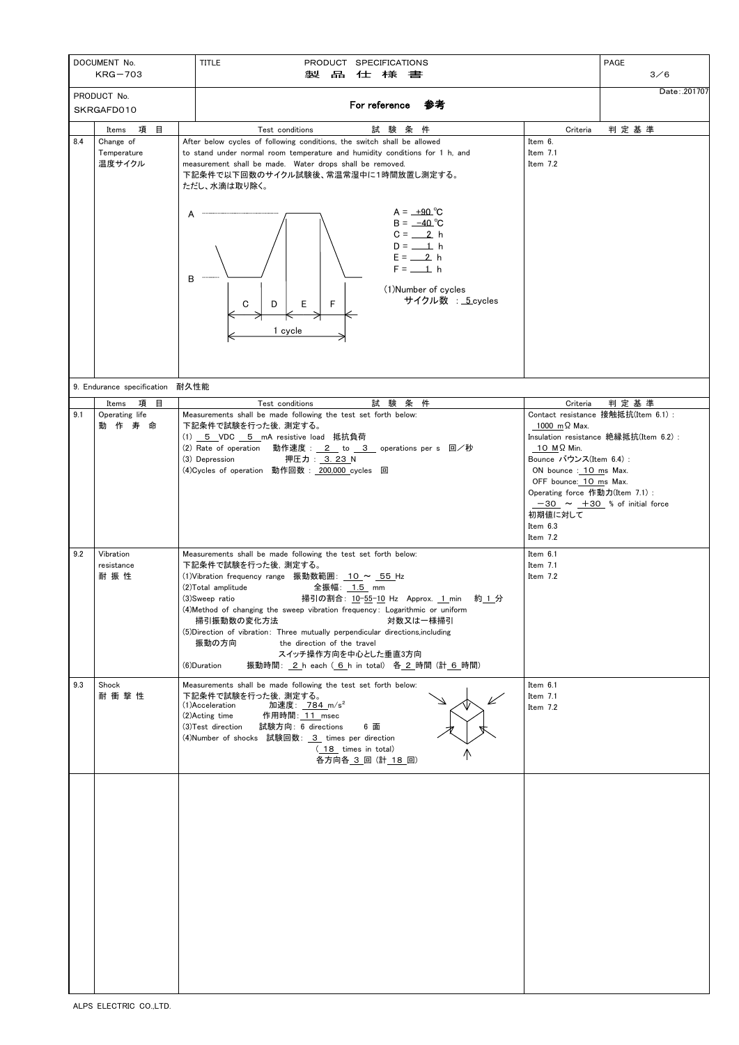| DOCUMENT No.<br>$KRG-703$ |                                                       | <b>TITLE</b><br><b>SPECIFICATIONS</b><br><b>PRODUCT</b><br>品<br>仕様書<br>製                                                                                                                                                                                                                                                                                                                                                                                                                                                                                                          |                                                                                                                                                                                                          | PAGE<br>3/6                                                                                                              |
|---------------------------|-------------------------------------------------------|-----------------------------------------------------------------------------------------------------------------------------------------------------------------------------------------------------------------------------------------------------------------------------------------------------------------------------------------------------------------------------------------------------------------------------------------------------------------------------------------------------------------------------------------------------------------------------------|----------------------------------------------------------------------------------------------------------------------------------------------------------------------------------------------------------|--------------------------------------------------------------------------------------------------------------------------|
| PRODUCT No.<br>SKRGAFD010 |                                                       | For reference<br>参考                                                                                                                                                                                                                                                                                                                                                                                                                                                                                                                                                               |                                                                                                                                                                                                          | Date: .201707                                                                                                            |
| 8.4                       | 目<br>項<br>Items<br>Change of<br>Temperature<br>温度サイクル | 条<br>件<br>験<br>Test conditions<br>試<br>After below cycles of following conditions, the switch shall be allowed<br>to stand under normal room temperature and humidity conditions for 1 h, and<br>measurement shall be made. Water drops shall be removed.<br>下記条件で以下回数のサイクル試験後、常温常湿中に1時間放置し測定する。<br>ただし、水滴は取り除く。<br>$A = +90^{\circ}C$<br>A<br>$B = -40^{\circ}C$<br>$C = 2 h$<br>$D = 1$ h<br>$E = 2$ h<br>$F = 1 h$<br>B<br>(1) Number of cycles<br>サイクル数 : 5.cycles<br>F<br>C<br>D<br>Е<br>1 cycle                                                                             | Criteria<br>Item 6.<br>Item $7.1$<br>Item 7.2                                                                                                                                                            | 判定基準                                                                                                                     |
|                           | 9. Endurance specification                            | 耐久性能                                                                                                                                                                                                                                                                                                                                                                                                                                                                                                                                                                              |                                                                                                                                                                                                          |                                                                                                                          |
| 9.1                       | 項<br>目<br>Items<br>Operating life<br>作<br>寿<br>命<br>動 | 試<br>件<br>験 条<br>Test conditions<br>Measurements shall be made following the test set forth below:<br>下記条件で試験を行った後、測定する。<br>(1) 5 VDC 5 mA resistive load 抵抗負荷<br>動作速度: 2 to 3 operations per s 回/秒<br>(2) Rate of operation<br>(3) Depression<br>(4) Cycles of operation 動作回数: 200,000 cycles 回                                                                                                                                                                                                                                                                                  | Criteria<br>$1000 \text{ m}\Omega$ Max.<br>10 MΩ Min.<br>Bounce バウンス(Item 6.4):<br>ON bounce : 10 ms Max.<br>OFF bounce: 10 ms Max.<br>Operating force 作動力(Item 7.1):<br>初期値に対して<br>Item 6.3<br>Item 7.2 | 判定基準<br>Contact resistance 接触抵抗(Item 6.1):<br>Insulation resistance 絶縁抵抗(Item 6.2):<br>$-30 \sim +30$ % of initial force |
| 9.2                       | Vibration<br>resistance<br>耐振性                        | Measurements shall be made following the test set forth below:<br>下記条件で試験を行った後、測定する。<br>(1) Vibration frequency range 振動数範囲: 10 ~ 55 Hz<br>(2)Total amplitude<br>全振幅: <u>1.5</u> mm<br>(3) Sweep ratio<br>掃引の割合: <u>10-55-10</u> Hz Approx. 1 min 約1分<br>(4) Method of changing the sweep vibration frequency: Logarithmic or uniform<br>掃引振動数の変化方法<br>対数又は一様掃引<br>(5) Direction of vibration: Three mutually perpendicular directions, including<br>振動の方向<br>the direction of the travel<br>スイッチ操作方向を中心とした垂直3方向<br>(6) Duration<br>振動時間: 2 h each (6 h in total) 各 2 時間 (計 6 時間) | Item 6.1<br>Item $7.1$<br>Item 7.2                                                                                                                                                                       |                                                                                                                          |
| 9.3                       | Shock<br>耐衝撃性                                         | Measurements shall be made following the test set forth below:<br>下記条件で試験を行った後、測定する。<br>V<br>加速度:_784_m/s <sup>2</sup><br>(1)Acceleration<br>作用時間: <u>11_</u> msec<br>(2)Acting time<br>試験方向: 6 directions<br>(3) Test direction<br>6 面<br>(4) Number of shocks 試験回数: 3 times per direction<br>(18 times in total)<br>各方向各 3回 (計 18回)                                                                                                                                                                                                                                             | Item 6.1<br>Item 7.1<br>Item 7.2                                                                                                                                                                         |                                                                                                                          |
|                           |                                                       |                                                                                                                                                                                                                                                                                                                                                                                                                                                                                                                                                                                   |                                                                                                                                                                                                          |                                                                                                                          |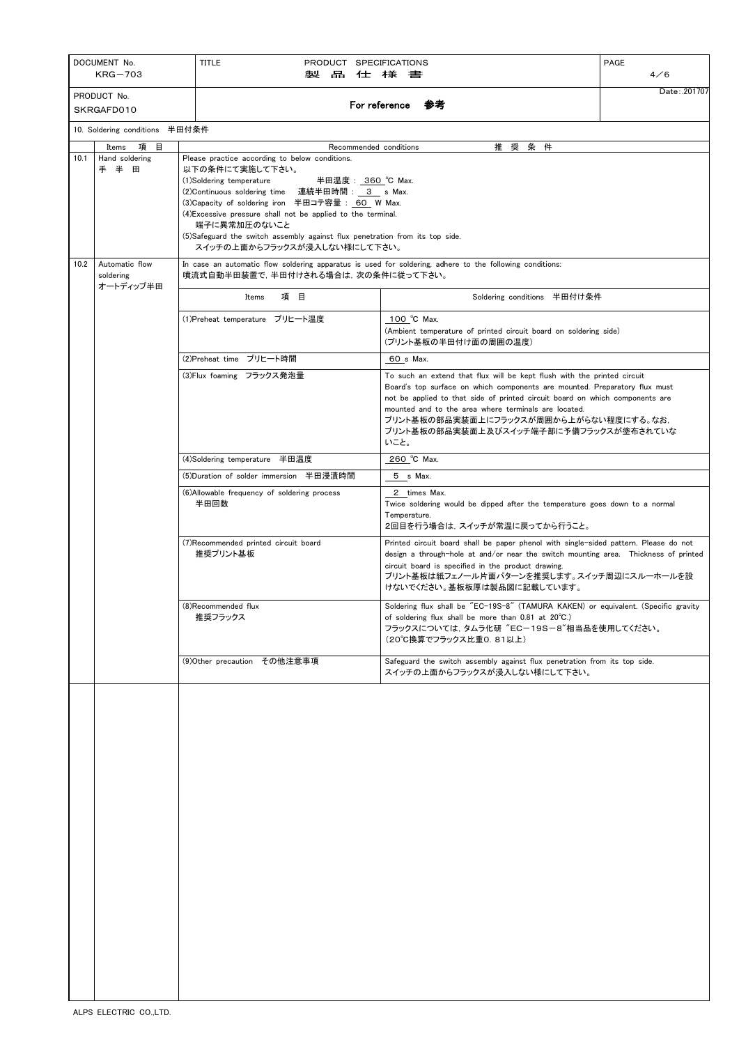| DOCUMENT No.<br>$KRG-703$ |                                          | <b>TITLE</b><br>PRODUCT SPECIFICATIONS<br>製<br>品                                                                                               | 仕様書                                                                                                                                                                                                                                                                                                                                                                                       | <b>PAGE</b><br>4/6 |  |  |  |
|---------------------------|------------------------------------------|------------------------------------------------------------------------------------------------------------------------------------------------|-------------------------------------------------------------------------------------------------------------------------------------------------------------------------------------------------------------------------------------------------------------------------------------------------------------------------------------------------------------------------------------------|--------------------|--|--|--|
| PRODUCT No.               |                                          |                                                                                                                                                |                                                                                                                                                                                                                                                                                                                                                                                           | Date: .201707      |  |  |  |
| SKRGAFD010                |                                          |                                                                                                                                                | For reference<br>参考                                                                                                                                                                                                                                                                                                                                                                       |                    |  |  |  |
|                           | 10. Soldering conditions 半田付条件           |                                                                                                                                                |                                                                                                                                                                                                                                                                                                                                                                                           |                    |  |  |  |
|                           | 項目<br>Items                              | Recommended conditions                                                                                                                         | 推 奨 条 件                                                                                                                                                                                                                                                                                                                                                                                   |                    |  |  |  |
| 10.1                      | Hand soldering<br>手半<br>田                | 以下の条件にて実施して下さい。<br>(1)Soldering temperature<br>端子に異常加圧のないこと<br>(5)Safeguard the switch assembly against flux penetration from its top side.    | Please practice according to below conditions.<br>半田温度: 360 ℃ Max.<br>(2)Continuous soldering time 連続半田時間: 3 s Max.<br>(3) Capacity of soldering iron 半田コテ容量: 60 W Max.<br>(4) Excessive pressure shall not be applied to the terminal.                                                                                                                                                   |                    |  |  |  |
|                           |                                          | スイッチの上面からフラックスが浸入しない様にして下さい。                                                                                                                   |                                                                                                                                                                                                                                                                                                                                                                                           |                    |  |  |  |
| 10.2                      | Automatic flow<br>soldering<br>オートディップ半田 | In case an automatic flow soldering apparatus is used for soldering, adhere to the following conditions:<br>噴流式自動半田装置で、半田付けされる場合は、次の条件に従って下さい。 |                                                                                                                                                                                                                                                                                                                                                                                           |                    |  |  |  |
|                           |                                          | 項目<br>Items                                                                                                                                    | Soldering conditions 半田付け条件                                                                                                                                                                                                                                                                                                                                                               |                    |  |  |  |
|                           |                                          | (1)Preheat temperature プリヒート温度                                                                                                                 | 100 °C Max.<br>(Ambient temperature of printed circuit board on soldering side)<br>(プリント基板の半田付け面の周囲の温度)                                                                                                                                                                                                                                                                                   |                    |  |  |  |
|                           |                                          | (2)Preheat time プリヒート時間                                                                                                                        | 60 s Max.                                                                                                                                                                                                                                                                                                                                                                                 |                    |  |  |  |
|                           |                                          | (3)Flux foaming フラックス発泡量                                                                                                                       | To such an extend that flux will be kept flush with the printed circuit<br>Board's top surface on which components are mounted. Preparatory flux must<br>not be applied to that side of printed circuit board on which components are<br>mounted and to the area where terminals are located.<br>プリント基板の部品実装面上にフラックスが周囲から上がらない程度にする。なお,<br>プリント基板の部品実装面上及びスイッチ端子部に予備フラックスが塗布されていな<br>いこと。 |                    |  |  |  |
|                           |                                          | (4)Soldering temperature 半田温度                                                                                                                  | 260 °C Max.                                                                                                                                                                                                                                                                                                                                                                               |                    |  |  |  |
|                           |                                          | (5)Duration of solder immersion 半田浸漬時間                                                                                                         | 5 s Max.                                                                                                                                                                                                                                                                                                                                                                                  |                    |  |  |  |
|                           |                                          | (6) Allowable frequency of soldering process<br>半田回数                                                                                           | 2 times Max.<br>Twice soldering would be dipped after the temperature goes down to a normal<br>Temperature.<br>2回目を行う場合は、スイッチが常温に戻ってから行うこと。                                                                                                                                                                                                                                               |                    |  |  |  |
|                           |                                          | (7) Recommended printed circuit board<br>推奨プリント基板                                                                                              | Printed circuit board shall be paper phenol with single-sided pattern. Please do not<br>design a through-hole at and/or near the switch mounting area. Thickness of printed<br>circuit board is specified in the product drawing.<br>プリント基板は紙フェノール片面パターンを推奨します。スイッチ周辺にスルーホールを設<br>けないでください。基板板厚は製品図に記載しています。                                                                              |                    |  |  |  |
|                           |                                          | (8) Recommended flux<br>推奨フラックス                                                                                                                | Soldering flux shall be "EC-19S-8" (TAMURA KAKEN) or equivalent. (Specific gravity<br>of soldering flux shall be more than 0.81 at 20°C.)<br>フラックスについては, タムラ化研 "EC-19S-8"相当品を使用してください。<br>(20℃換算でフラックス比重0.81以上)                                                                                                                                                                           |                    |  |  |  |
|                           |                                          | (9)Other precaution その他注意事項                                                                                                                    | Safeguard the switch assembly against flux penetration from its top side.<br>スイッチの上面からフラックスが浸入しない様にして下さい。                                                                                                                                                                                                                                                                                 |                    |  |  |  |
|                           |                                          |                                                                                                                                                |                                                                                                                                                                                                                                                                                                                                                                                           |                    |  |  |  |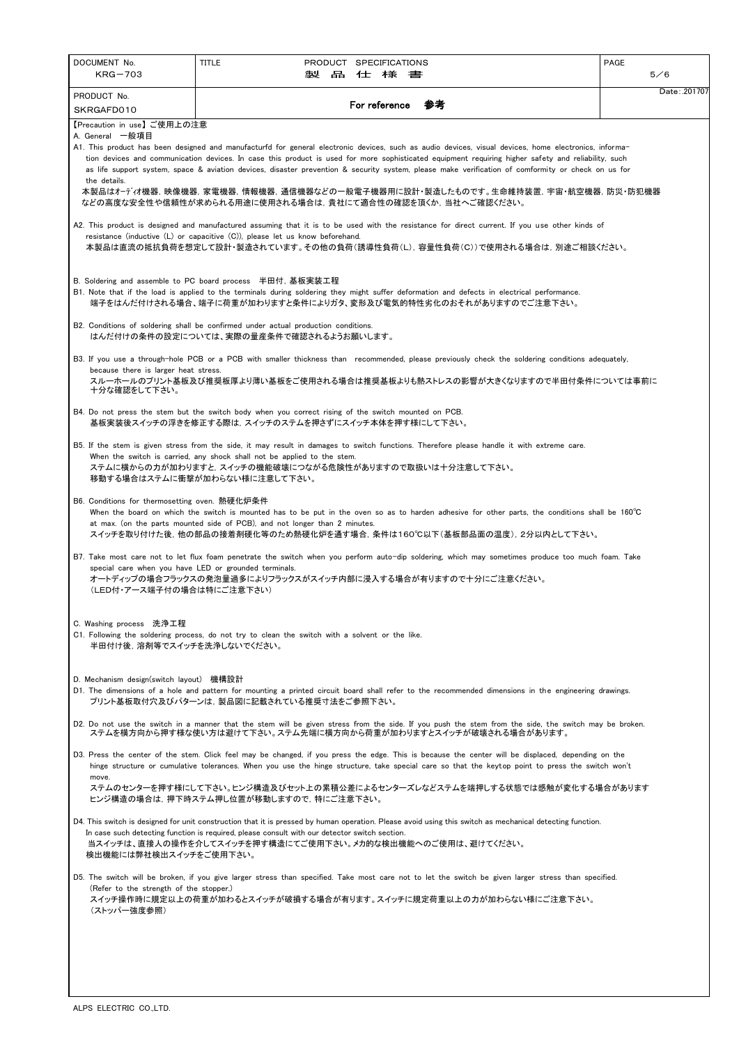| DOCUMENT No.                                          | <b>TITLE</b>                                                                                                                                                                                                                   |  | PRODUCT SPECIFICATIONS |    | PAGE          |
|-------------------------------------------------------|--------------------------------------------------------------------------------------------------------------------------------------------------------------------------------------------------------------------------------|--|------------------------|----|---------------|
| $KRG-703$                                             | 製品                                                                                                                                                                                                                             |  | 仕様書                    |    | 5/6           |
| PRODUCT No.                                           |                                                                                                                                                                                                                                |  | For reference          | 参考 | Date: .201707 |
| SKRGAFD010                                            |                                                                                                                                                                                                                                |  |                        |    |               |
| 【Precaution in use】ご使用上の注意<br>A. General 一般項目         |                                                                                                                                                                                                                                |  |                        |    |               |
|                                                       | A1. This product has been designed and manufacturfd for general electronic devices, such as audio devices, visual devices, home electronics, informa-                                                                          |  |                        |    |               |
|                                                       | tion devices and communication devices. In case this product is used for more sophisticated equipment requiring higher safety and reliability, such                                                                            |  |                        |    |               |
| the details.                                          | as life support system, space & aviation devices, disaster prevention & security system, please make verification of comformity or check on us for                                                                             |  |                        |    |               |
|                                                       | 本製品はオーディオ機器,映像機器,家電機器,情報機器,通信機器などの一般電子機器用に設計・製造したものです。生命維持装置,宇宙・航空機器,防災・防犯機器                                                                                                                                                   |  |                        |    |               |
|                                                       | などの高度な安全性や信頼性が求められる用途に使用される場合は,貴社にて適合性の確認を頂くか,当社へご確認ください。                                                                                                                                                                      |  |                        |    |               |
|                                                       |                                                                                                                                                                                                                                |  |                        |    |               |
|                                                       | A2. This product is designed and manufactured assuming that it is to be used with the resistance for direct current. If you use other kinds of<br>resistance (inductive (L) or capacitive (C)), please let us know beforehand. |  |                        |    |               |
|                                                       | 本製品は直流の抵抗負荷を想定して設計・製造されています。その他の負荷(誘導性負荷(L), 容量性負荷(C))で使用される場合は, 別途ご相談ください。                                                                                                                                                    |  |                        |    |               |
|                                                       |                                                                                                                                                                                                                                |  |                        |    |               |
|                                                       | B. Soldering and assemble to PC board process 半田付, 基板実装工程                                                                                                                                                                      |  |                        |    |               |
|                                                       | B1. Note that if the load is applied to the terminals during soldering they might suffer deformation and defects in electrical performance.                                                                                    |  |                        |    |               |
|                                                       | 端子をはんだ付けされる場合、端子に荷重が加わりますと条件によりガタ、変形及び電気的特性劣化のおそれがありますのでご注意下さい。                                                                                                                                                                |  |                        |    |               |
|                                                       |                                                                                                                                                                                                                                |  |                        |    |               |
|                                                       | B2. Conditions of soldering shall be confirmed under actual production conditions.<br>はんだ付けの条件の設定については、実際の量産条件で確認されるようお願いします。                                                                                                  |  |                        |    |               |
|                                                       |                                                                                                                                                                                                                                |  |                        |    |               |
|                                                       | B3. If you use a through-hole PCB or a PCB with smaller thickness than recommended, please previously check the soldering conditions adequately,                                                                               |  |                        |    |               |
| because there is larger heat stress.                  | スルーホールのプリント基板及び推奨板厚より薄い基板をご使用される場合は推奨基板よりも熱ストレスの影響が大きくなりますので半田付条件については事前に                                                                                                                                                      |  |                        |    |               |
| 十分な確認をして下さい。                                          |                                                                                                                                                                                                                                |  |                        |    |               |
|                                                       | B4. Do not press the stem but the switch body when you correct rising of the switch mounted on PCB.                                                                                                                            |  |                        |    |               |
|                                                       | 基板実装後スイッチの浮きを修正する際は,スイッチのステムを押さずにスイッチ本体を押す様にして下さい。                                                                                                                                                                             |  |                        |    |               |
|                                                       |                                                                                                                                                                                                                                |  |                        |    |               |
|                                                       | B5. If the stem is given stress from the side, it may result in damages to switch functions. Therefore please handle it with extreme care.                                                                                     |  |                        |    |               |
|                                                       | When the switch is carried, any shock shall not be applied to the stem.<br>ステムに横からの力が加わりますと,スイッチの機能破壊につながる危険性がありますので取扱いは十分注意して下さい。                                                                                             |  |                        |    |               |
|                                                       | 移動する場合はステムに衝撃が加わらない様に注意して下さい。                                                                                                                                                                                                  |  |                        |    |               |
|                                                       |                                                                                                                                                                                                                                |  |                        |    |               |
| B6. Conditions for thermosetting oven. 熱硬化炉条件         | When the board on which the switch is mounted has to be put in the oven so as to harden adhesive for other parts, the conditions shall be 160°C                                                                                |  |                        |    |               |
|                                                       | at max. (on the parts mounted side of PCB), and not longer than 2 minutes.                                                                                                                                                     |  |                        |    |               |
|                                                       | スイッチを取り付けた後,他の部品の接着剤硬化等のため熱硬化炉を通す場合,条件は160℃以下(基板部品面の温度),2分以内として下さい。                                                                                                                                                            |  |                        |    |               |
|                                                       | B7. Take most care not to let flux foam penetrate the switch when you perform auto-dip soldering, which may sometimes produce too much foam. Take                                                                              |  |                        |    |               |
| special care when you have LED or grounded terminals. |                                                                                                                                                                                                                                |  |                        |    |               |
|                                                       | オートディップの場合フラックスの発泡量過多によりフラックスがスイッチ内部に浸入する場合が有りますので十分にご注意ください。                                                                                                                                                                  |  |                        |    |               |
| (LED付・アース端子付の場合は特にご注意下さい)                             |                                                                                                                                                                                                                                |  |                        |    |               |
|                                                       |                                                                                                                                                                                                                                |  |                        |    |               |
| C. Washing process 洗浄工程                               |                                                                                                                                                                                                                                |  |                        |    |               |
| 半田付け後、溶剤等でスイッチを洗浄しないでください。                            | C1. Following the soldering process, do not try to clean the switch with a solvent or the like.                                                                                                                                |  |                        |    |               |
|                                                       |                                                                                                                                                                                                                                |  |                        |    |               |
|                                                       |                                                                                                                                                                                                                                |  |                        |    |               |
| D. Mechanism design(switch layout) 機構設計               |                                                                                                                                                                                                                                |  |                        |    |               |
|                                                       | D1. The dimensions of a hole and pattern for mounting a printed circuit board shall refer to the recommended dimensions in the engineering drawings.<br>プリント基板取付穴及びパターンは,製品図に記載されている推奨寸法をご参照下さい。                               |  |                        |    |               |
|                                                       |                                                                                                                                                                                                                                |  |                        |    |               |
|                                                       | D2. Do not use the switch in a manner that the stem will be given stress from the side. If you push the stem from the side, the switch may be broken.                                                                          |  |                        |    |               |
|                                                       | ステムを横方向から押す様な使い方は避けて下さい。ステム先端に横方向から荷重が加わりますとスイッチが破壊される場合があります。                                                                                                                                                                 |  |                        |    |               |
|                                                       | D3. Press the center of the stem. Click feel may be changed, if you press the edge. This is because the center will be displaced, depending on the                                                                             |  |                        |    |               |
|                                                       | hinge structure or cumulative tolerances. When you use the hinge structure, take special care so that the keytop point to press the switch won't                                                                               |  |                        |    |               |

move.

ステムのセンターを押す様にして下さい。ヒンジ構造及びセット上の累積公差によるセンターズレなどステムを端押しする状態では感触が変化する場合があります

ヒンジ構造の場合は,押下時ステム押し位置が移動しますので,特にご注意下さい。

D4. This switch is designed for unit construction that it is pressed by human operation. Please avoid using this switch as mechanical detecting function. In case such detecting function is required, please consult with our detector switch section. 当スイッチは、直接人の操作を介してスイッチを押す構造にてご使用下さい。メカ的な検出機能へのご使用は、避けてください。 検出機能には弊社検出スイッチをご使用下さい。

D5. The switch will be broken, if you give larger stress than specified. Take most care not to let the switch be given larger stress than specified. (Refer to the strength of the stopper.) スイッチ操作時に規定以上の荷重が加わるとスイッチが破損する場合が有ります。スイッチに規定荷重以上の力が加わらない様にご注意下さい。 (ストッパー強度参照)